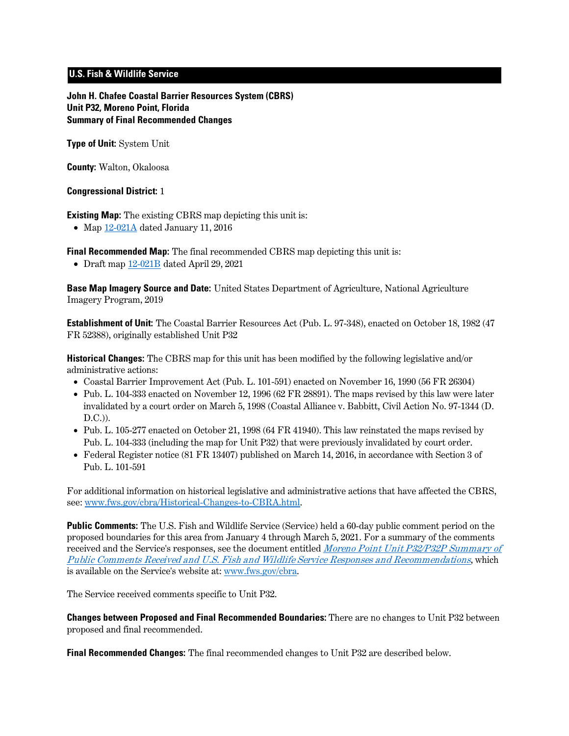# **U.S. Fish & Wildlife Service**

**John H. Chafee Coastal Barrier Resources System (CBRS) Unit P32, Moreno Point, Florida Summary of Final Recommended Changes**

**Type of Unit:** System Unit

**County:** Walton, Okaloosa

## **Congressional District:** 1

**Existing Map:** The existing CBRS map depicting this unit is:

• Map [12-021A](http://www.fws.gov/cbra/maps/effective/12-021A.pdf) dated January 11, 2016

**Final Recommended Map:** The final recommended CBRS map depicting this unit is:

• Draft map [12-021B](https://www.fws.gov/cbra/projects/technical-corrections/Final-Recommended-12-021B.pdf) dated April 29, 2021

**Base Map Imagery Source and Date:** United States Department of Agriculture, National Agriculture Imagery Program, 2019

**Establishment of Unit:** The Coastal Barrier Resources Act (Pub. L. 97-348), enacted on October 18, 1982 (47 FR 52388), originally established Unit P32

**Historical Changes:** The CBRS map for this unit has been modified by the following legislative and/or administrative actions:

- Coastal Barrier Improvement Act (Pub. L. 101-591) enacted on November 16, 1990 (56 FR 26304)
- Pub. L. 104-333 enacted on November 12, 1996 (62 FR 28891). The maps revised by this law were later invalidated by a court order on March 5, 1998 (Coastal Alliance v. Babbitt, Civil Action No. 97-1344 (D.  $D.C.$ )).
- Pub. L. 105-277 enacted on October 21, 1998 (64 FR 41940). This law reinstated the maps revised by Pub. L. 104-333 (including the map for Unit P32) that were previously invalidated by court order.
- Federal Register notice (81 FR 13407) published on March 14, 2016, in accordance with Section 3 of Pub. L. 101-591

For additional information on historical legislative and administrative actions that have affected the CBRS, see: [www.fws.gov/cbra/Historical-Changes-to-CBRA.html.](http://www.fws.gov/cbra/Historical-Changes-to-CBRA.html)

**Public Comments:** The U.S. Fish and Wildlife Service (Service) held a 60-day public comment period on the proposed boundaries for this area from January 4 through March 5, 2021. For a summary of the comments received and the Service's responses, see the document entitled *Moreno Point Unit P32/P32P Summary of* [Public Comments Received and U.S. Fish and Wildlife Service Responses and Recommendations](https://www.fws.gov/cbra/projects/technical-corrections/P32-P32P-Public-Comments-and-Responses.pdf), which is available on the Service's website at: [www.fws.gov/cbra.](http://www.fws.gov/cbra)

The Service received comments specific to Unit P32.

**Changes between Proposed and Final Recommended Boundaries:** There are no changes to Unit P32 between proposed and final recommended.

**Final Recommended Changes:** The final recommended changes to Unit P32 are described below.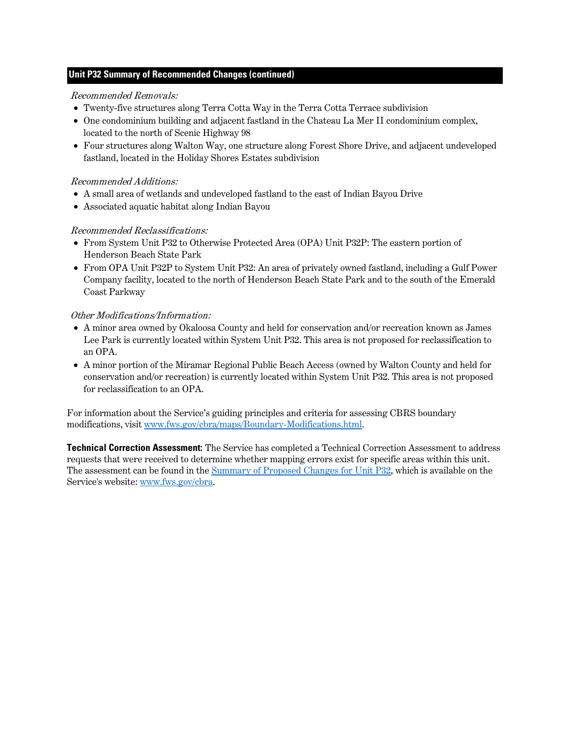## **Unit P32 Summary of Recommended Changes (continued)**

#### Recommended Removals:

- Twenty-five structures along Terra Cotta Way in the Terra Cotta Terrace subdivision
- One condominium building and adjacent fastland in the Chateau La Mer II condominium complex, located to the north of Scenic Highway 98
- Four structures along Walton Way, one structure along Forest Shore Drive, and adjacent undeveloped fastland, located in the Holiday Shores Estates subdivision

### Recommended Additions:

- A small area of wetlands and undeveloped fastland to the east of Indian Bayou Drive
- Associated aquatic habitat along Indian Bayou

## Recommended Reclassifications:

- From System Unit P32 to Otherwise Protected Area (OPA) Unit P32P: The eastern portion of Henderson Beach State Park
- From OPA Unit P32P to System Unit P32: An area of privately owned fastland, including a Gulf Power Company facility, located to the north of Henderson Beach State Park and to the south of the Emerald Coast Parkway

### Other Modifications/Information:

- A minor area owned by Okaloosa County and held for conservation and/or recreation known as James Lee Park is currently located within System Unit P32. This area is not proposed for reclassification to an OPA.
- A minor portion of the Miramar Regional Public Beach Access (owned by Walton County and held for conservation and/or recreation) is currently located within System Unit P32. This area is not proposed for reclassification to an OPA.

For information about the Service's guiding principles and criteria for assessing CBRS boundary modifications, visit [www.fws.gov/cbra/maps/Boundary-Modifications.html.](http://www.fws.gov/cbra/maps/Boundary-Modifications.html)

**Technical Correction Assessment:** The Service has completed a Technical Correction Assessment to address requests that were received to determine whether mapping errors exist for specific areas within this unit. The assessment can be found in th[e Summary of Proposed Changes for Unit P32,](https://www.fws.gov/cbra/projects/technical-corrections/P32-Proposed-Unit-Summary.pdf) which is available on the Service's website: [www.fws.gov/cbra.](http://www.fws.gov/cbra)